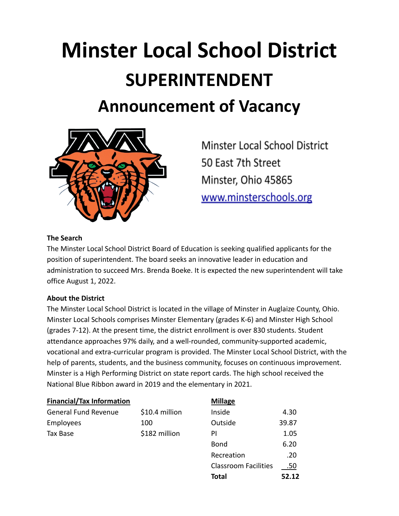# **Minster Local School District SUPERINTENDENT Announcement of Vacancy**



Minster Local School District 50 East 7th Street Minster, Ohio 45865 www.minsterschools.org

**Total 52.12**

#### **The Search**

The Minster Local School District Board of Education is seeking qualified applicants for the position of superintendent. The board seeks an innovative leader in education and administration to succeed Mrs. Brenda Boeke. It is expected the new superintendent will take office August 1, 2022.

### **About the District**

The Minster Local School District is located in the village of Minster in Auglaize County, Ohio. Minster Local Schools comprises Minster Elementary (grades K-6) and Minster High School (grades 7-12). At the present time, the district enrollment is over 830 students. Student attendance approaches 97% daily, and a well-rounded, community-supported academic, vocational and extra-curricular program is provided. The Minster Local School District, with the help of parents, students, and the business community, focuses on continuous improvement. Minster is a High Performing District on state report cards. The high school received the National Blue Ribbon award in 2019 and the elementary in 2021.

| <b>Financial/Tax Information</b> |                | <b>Millage</b>              |       |
|----------------------------------|----------------|-----------------------------|-------|
| <b>General Fund Revenue</b>      | \$10.4 million | Inside                      | 4.30  |
| Employees                        | 100            | Outside                     | 39.87 |
| Tax Base                         | \$182 million  | PI                          | 1.05  |
|                                  |                | <b>Bond</b>                 | 6.20  |
|                                  |                | Recreation                  | .20   |
|                                  |                | <b>Classroom Facilities</b> |       |